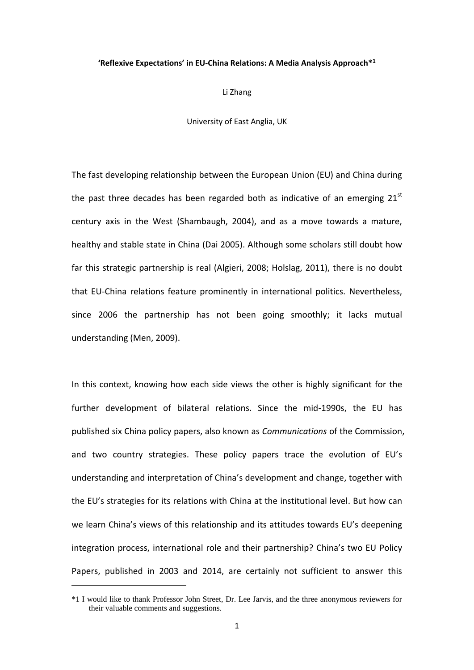#### **'Reflexive Expectations' in EU-China Relations: A Media Analysis Approach\* 1**

Li Zhang

University of East Anglia, UK

The fast developing relationship between the European Union (EU) and China during the past three decades has been regarded both as indicative of an emerging  $21<sup>st</sup>$ century axis in the West (Shambaugh, 2004), and as a move towards a mature, healthy and stable state in China (Dai 2005). Although some scholars still doubt how far this strategic partnership is real (Algieri, 2008; Holslag, 2011), there is no doubt that EU-China relations feature prominently in international politics. Nevertheless, since 2006 the partnership has not been going smoothly; it lacks mutual understanding (Men, 2009).

In this context, knowing how each side views the other is highly significant for the further development of bilateral relations. Since the mid-1990s, the EU has published six China policy papers, also known as *Communications* of the Commission, and two country strategies. These policy papers trace the evolution of EU's understanding and interpretation of China's development and change, together with the EU's strategies for its relations with China at the institutional level. But how can we learn China's views of this relationship and its attitudes towards EU's deepening integration process, international role and their partnership? China's two EU Policy Papers, published in 2003 and 2014, are certainly not sufficient to answer this

<sup>\*1</sup> I would like to thank Professor John Street, Dr. Lee Jarvis, and the three anonymous reviewers for their valuable comments and suggestions.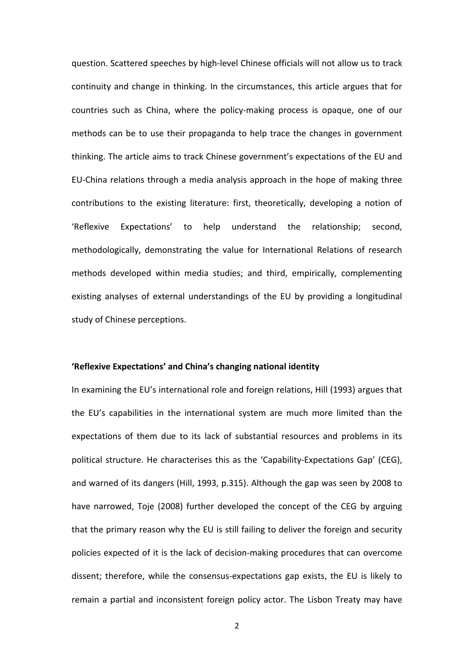question. Scattered speeches by high-level Chinese officials will not allow us to track continuity and change in thinking. In the circumstances, this article argues that for countries such as China, where the policy-making process is opaque, one of our methods can be to use their propaganda to help trace the changes in government thinking. The article aims to track Chinese government's expectations of the EU and EU-China relations through a media analysis approach in the hope of making three contributions to the existing literature: first, theoretically, developing a notion of 'Reflexive Expectations' to help understand the relationship; second, methodologically, demonstrating the value for International Relations of research methods developed within media studies; and third, empirically, complementing existing analyses of external understandings of the EU by providing a longitudinal study of Chinese perceptions.

## **'Reflexive Expectations' and China's changing national identity**

In examining the EU's international role and foreign relations, Hill (1993) argues that the EU's capabilities in the international system are much more limited than the expectations of them due to its lack of substantial resources and problems in its political structure. He characterises this as the 'Capability-Expectations Gap' (CEG), and warned of its dangers (Hill, 1993, p.315). Although the gap was seen by 2008 to have narrowed, Toje (2008) further developed the concept of the CEG by arguing that the primary reason why the EU is still failing to deliver the foreign and security policies expected of it is the lack of decision-making procedures that can overcome dissent; therefore, while the consensus-expectations gap exists, the EU is likely to remain a partial and inconsistent foreign policy actor. The Lisbon Treaty may have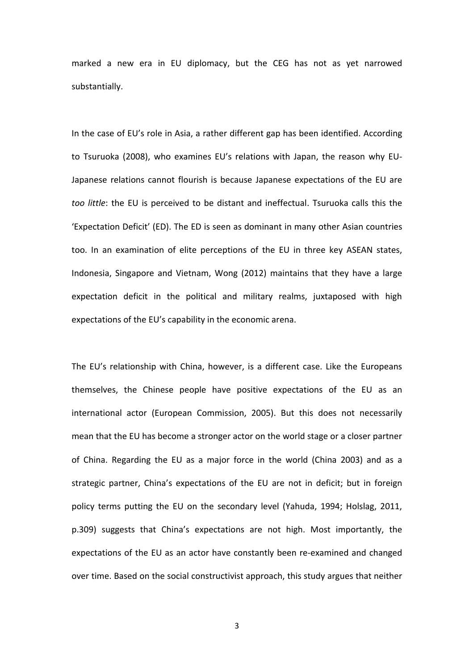marked a new era in EU diplomacy, but the CEG has not as yet narrowed substantially.

In the case of EU's role in Asia, a rather different gap has been identified. According to Tsuruoka (2008), who examines EU's relations with Japan, the reason why EU-Japanese relations cannot flourish is because Japanese expectations of the EU are *too little*: the EU is perceived to be distant and ineffectual. Tsuruoka calls this the 'Expectation Deficit' (ED). The ED is seen as dominant in many other Asian countries too. In an examination of elite perceptions of the EU in three key ASEAN states, Indonesia, Singapore and Vietnam, Wong (2012) maintains that they have a large expectation deficit in the political and military realms, juxtaposed with high expectations of the EU's capability in the economic arena.

The EU's relationship with China, however, is a different case. Like the Europeans themselves, the Chinese people have positive expectations of the EU as an international actor (European Commission, 2005). But this does not necessarily mean that the EU has become a stronger actor on the world stage or a closer partner of China. Regarding the EU as a major force in the world (China 2003) and as a strategic partner, China's expectations of the EU are not in deficit; but in foreign policy terms putting the EU on the secondary level (Yahuda, 1994; Holslag, 2011, p.309) suggests that China's expectations are not high. Most importantly, the expectations of the EU as an actor have constantly been re-examined and changed over time. Based on the social constructivist approach, this study argues that neither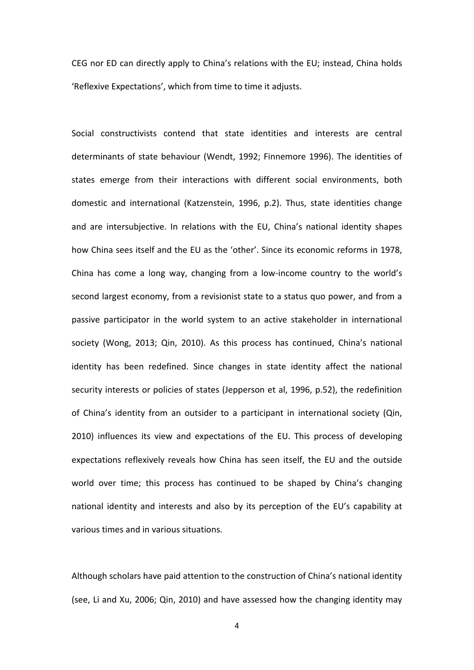CEG nor ED can directly apply to China's relations with the EU; instead, China holds 'Reflexive Expectations', which from time to time it adjusts.

Social constructivists contend that state identities and interests are central determinants of state behaviour (Wendt, 1992; Finnemore 1996). The identities of states emerge from their interactions with different social environments, both domestic and international (Katzenstein, 1996, p.2). Thus, state identities change and are intersubjective. In relations with the EU, China's national identity shapes how China sees itself and the EU as the 'other'. Since its economic reforms in 1978, China has come a long way, changing from a low-income country to the world's second largest economy, from a revisionist state to a status quo power, and from a passive participator in the world system to an active stakeholder in international society (Wong, 2013; Qin, 2010). As this process has continued, China's national identity has been redefined. Since changes in state identity affect the national security interests or policies of states (Jepperson et al, 1996, p.52), the redefinition of China's identity from an outsider to a participant in international society (Qin, 2010) influences its view and expectations of the EU. This process of developing expectations reflexively reveals how China has seen itself, the EU and the outside world over time; this process has continued to be shaped by China's changing national identity and interests and also by its perception of the EU's capability at various times and in various situations.

Although scholars have paid attention to the construction of China's national identity (see, Li and Xu, 2006; Qin, 2010) and have assessed how the changing identity may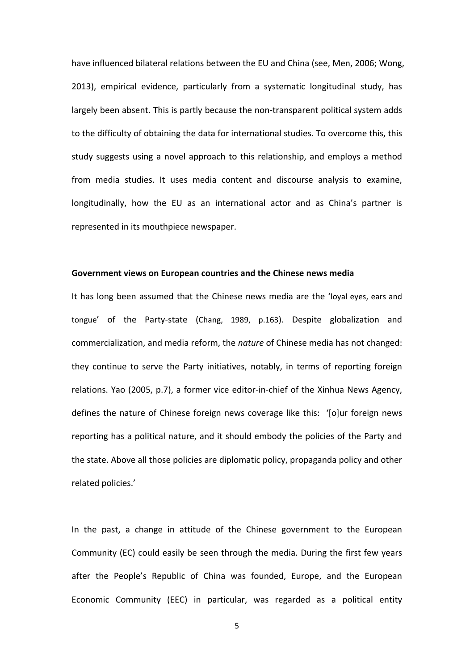have influenced bilateral relations between the EU and China (see, Men, 2006; Wong, 2013), empirical evidence, particularly from a systematic longitudinal study, has largely been absent. This is partly because the non-transparent political system adds to the difficulty of obtaining the data for international studies. To overcome this, this study suggests using a novel approach to this relationship, and employs a method from media studies. It uses media content and discourse analysis to examine, longitudinally, how the EU as an international actor and as China's partner is represented in its mouthpiece newspaper.

# **Government views on European countries and the Chinese news media**

It has long been assumed that the Chinese news media are the 'loyal eyes, ears and tongue' of the Party-state (Chang, 1989, p.163). Despite globalization and commercialization, and media reform, the *nature* of Chinese media has not changed: they continue to serve the Party initiatives, notably, in terms of reporting foreign relations. Yao (2005, p.7), a former vice editor-in-chief of the Xinhua News Agency, defines the nature of Chinese foreign news coverage like this: '[o]ur foreign news reporting has a political nature, and it should embody the policies of the Party and the state. Above all those policies are diplomatic policy, propaganda policy and other related policies.'

In the past, a change in attitude of the Chinese government to the European Community (EC) could easily be seen through the media. During the first few years after the People's Republic of China was founded, Europe, and the European Economic Community (EEC) in particular, was regarded as a political entity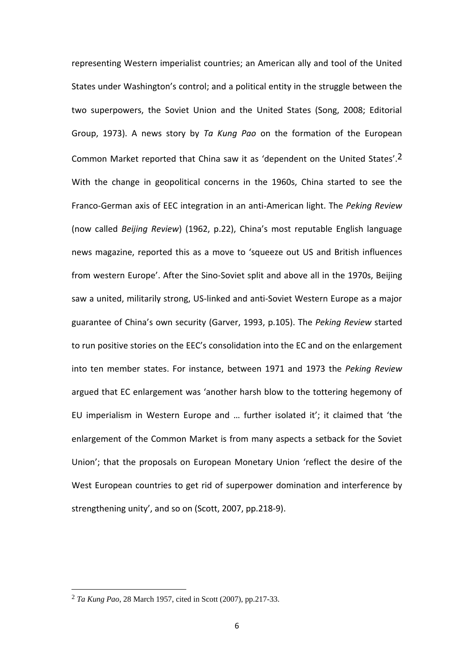representing Western imperialist countries; an American ally and tool of the United States under Washington's control; and a political entity in the struggle between the two superpowers, the Soviet Union and the United States (Song, 2008; Editorial Group, 1973). A news story by *Ta Kung Pao* on the formation of the European Common Market reported that China saw it as 'dependent on the United States'.2 With the change in geopolitical concerns in the 1960s, China started to see the Franco-German axis of EEC integration in an anti-American light. The *Peking Review* (now called *Beijing Review*) (1962, p.22), China's most reputable English language news magazine, reported this as a move to 'squeeze out US and British influences from western Europe'. After the Sino-Soviet split and above all in the 1970s, Beijing saw a united, militarily strong, US-linked and anti-Soviet Western Europe as a major guarantee of China's own security (Garver, 1993, p.105). The *Peking Review* started to run positive stories on the EEC's consolidation into the EC and on the enlargement into ten member states. For instance, between 1971 and 1973 the *Peking Review* argued that EC enlargement was 'another harsh blow to the tottering hegemony of EU imperialism in Western Europe and … further isolated it'; it claimed that 'the enlargement of the Common Market is from many aspects a setback for the Soviet Union'; that the proposals on European Monetary Union 'reflect the desire of the West European countries to get rid of superpower domination and interference by strengthening unity', and so on (Scott, 2007, pp.218-9).

<sup>2</sup> *Ta Kung Pao*, 28 March 1957, cited in Scott (2007), pp.217-33.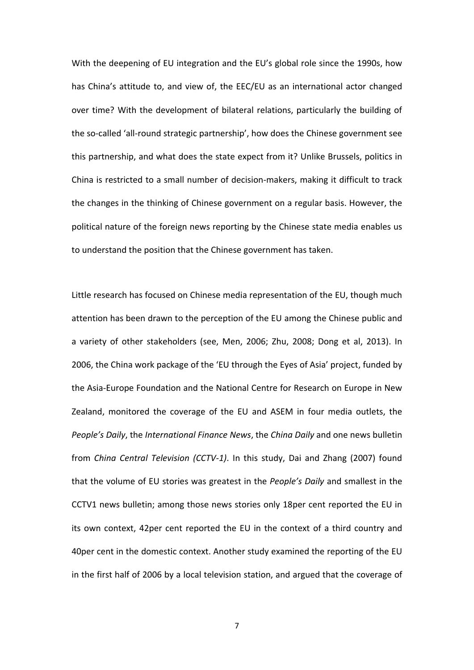With the deepening of EU integration and the EU's global role since the 1990s, how has China's attitude to, and view of, the EEC/EU as an international actor changed over time? With the development of bilateral relations, particularly the building of the so-called 'all-round strategic partnership', how does the Chinese government see this partnership, and what does the state expect from it? Unlike Brussels, politics in China is restricted to a small number of decision-makers, making it difficult to track the changes in the thinking of Chinese government on a regular basis. However, the political nature of the foreign news reporting by the Chinese state media enables us to understand the position that the Chinese government has taken.

Little research has focused on Chinese media representation of the EU, though much attention has been drawn to the perception of the EU among the Chinese public and a variety of other stakeholders (see, Men, 2006; Zhu, 2008; Dong et al, 2013). In 2006, the China work package of the 'EU through the Eyes of Asia' project, funded by the Asia-Europe Foundation and the National Centre for Research on Europe in New Zealand, monitored the coverage of the EU and ASEM in four media outlets, the *People's Daily*, the *International Finance News*, the *China Daily* and one news bulletin from *China Central Television (CCTV-1)*. In this study, Dai and Zhang (2007) found that the volume of EU stories was greatest in the *People's Daily* and smallest in the CCTV1 news bulletin; among those news stories only 18per cent reported the EU in its own context, 42per cent reported the EU in the context of a third country and 40per cent in the domestic context. Another study examined the reporting of the EU in the first half of 2006 by a local television station, and argued that the coverage of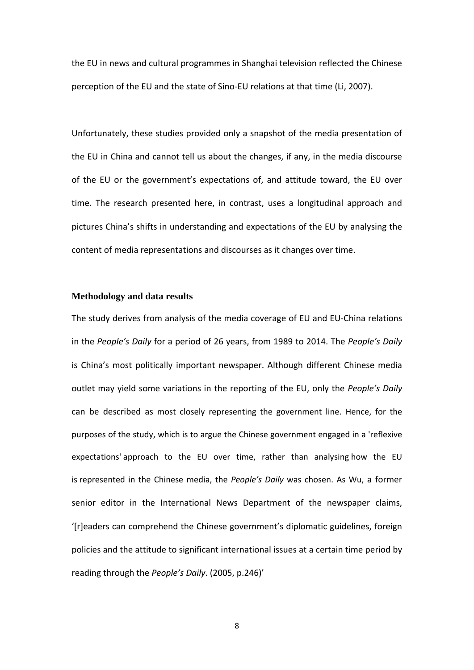the EU in news and cultural programmes in Shanghai television reflected the Chinese perception of the EU and the state of Sino-EU relations at that time (Li, 2007).

Unfortunately, these studies provided only a snapshot of the media presentation of the EU in China and cannot tell us about the changes, if any, in the media discourse of the EU or the government's expectations of, and attitude toward, the EU over time. The research presented here, in contrast, uses a longitudinal approach and pictures China's shifts in understanding and expectations of the EU by analysing the content of media representations and discourses as it changes over time.

## **Methodology and data results**

The study derives from analysis of the media coverage of EU and EU-China relations in the *People's Daily* for a period of 26 years, from 1989 to 2014. The *People's Daily* is China's most politically important newspaper. Although different Chinese media outlet may yield some variations in the reporting of the EU, only the *People's Daily* can be described as most closely representing the government line. Hence, for the purposes of the study, which is to argue the Chinese government engaged in a 'reflexive expectations' approach to the EU over time, rather than analysing how the EU is represented in the Chinese media, the *People's Daily* was chosen. As Wu, a former senior editor in the International News Department of the newspaper claims, '[r]eaders can comprehend the Chinese government's diplomatic guidelines, foreign policies and the attitude to significant international issues at a certain time period by reading through the *People's Daily*. (2005, p.246)'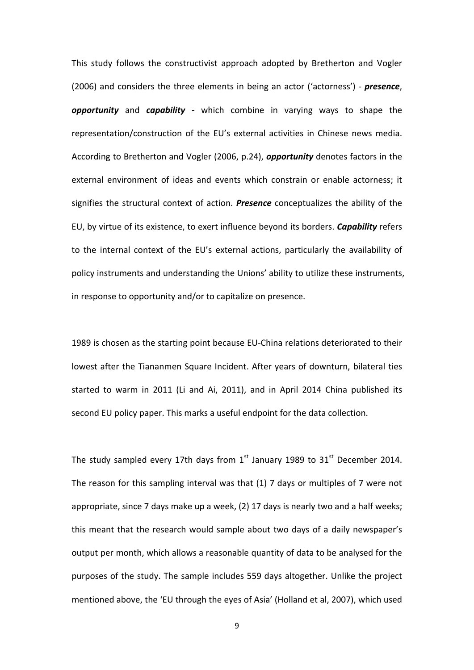This study follows the constructivist approach adopted by Bretherton and Vogler (2006) and considers the three elements in being an actor ('actorness') - *presence*, *opportunity* and *capability -* which combine in varying ways to shape the representation/construction of the EU's external activities in Chinese news media. According to Bretherton and Vogler (2006, p.24), *opportunity* denotes factors in the external environment of ideas and events which constrain or enable actorness; it signifies the structural context of action. *Presence* conceptualizes the ability of the EU, by virtue of its existence, to exert influence beyond its borders. *Capability* refers to the internal context of the EU's external actions, particularly the availability of policy instruments and understanding the Unions' ability to utilize these instruments, in response to opportunity and/or to capitalize on presence.

1989 is chosen as the starting point because EU-China relations deteriorated to their lowest after the Tiananmen Square Incident. After years of downturn, bilateral ties started to warm in 2011 (Li and Ai, 2011), and in April 2014 China published its second EU policy paper. This marks a useful endpoint for the data collection.

The study sampled every 17th days from  $1^{st}$  January 1989 to 31st December 2014. The reason for this sampling interval was that (1) 7 days or multiples of 7 were not appropriate, since 7 days make up a week, (2) 17 days is nearly two and a half weeks; this meant that the research would sample about two days of a daily newspaper's output per month, which allows a reasonable quantity of data to be analysed for the purposes of the study. The sample includes 559 days altogether. Unlike the project mentioned above, the 'EU through the eyes of Asia' (Holland et al, 2007), which used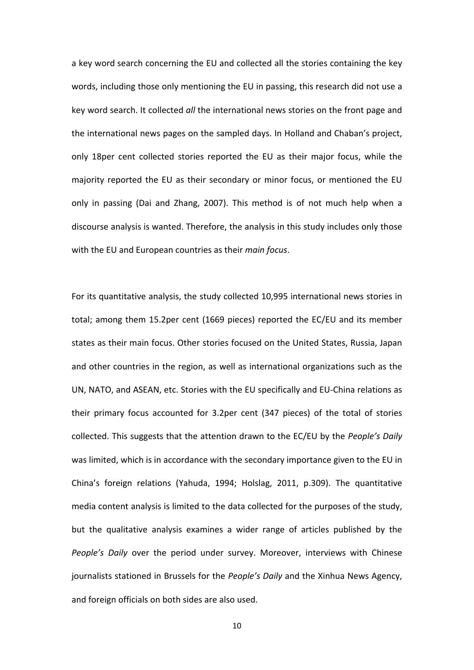a key word search concerning the EU and collected all the stories containing the key words, including those only mentioning the EU in passing, this research did not use a key word search. It collected *all* the international news stories on the front page and the international news pages on the sampled days. In Holland and Chaban's project, only 18per cent collected stories reported the EU as their major focus, while the majority reported the EU as their secondary or minor focus, or mentioned the EU only in passing (Dai and Zhang, 2007). This method is of not much help when a discourse analysis is wanted. Therefore, the analysis in this study includes only those with the EU and European countries as their *main focus*.

For its quantitative analysis, the study collected 10,995 international news stories in total; among them 15.2per cent (1669 pieces) reported the EC/EU and its member states as their main focus. Other stories focused on the United States, Russia, Japan and other countries in the region, as well as international organizations such as the UN, NATO, and ASEAN, etc. Stories with the EU specifically and EU-China relations as their primary focus accounted for 3.2per cent (347 pieces) of the total of stories collected. This suggests that the attention drawn to the EC/EU by the *People's Daily* was limited, which is in accordance with the secondary importance given to the EU in China's foreign relations (Yahuda, 1994; Holslag, 2011, p.309). The quantitative media content analysis is limited to the data collected for the purposes of the study, but the qualitative analysis examines a wider range of articles published by the *People's Daily* over the period under survey. Moreover, interviews with Chinese journalists stationed in Brussels for the *People's Daily* and the Xinhua News Agency, and foreign officials on both sides are also used.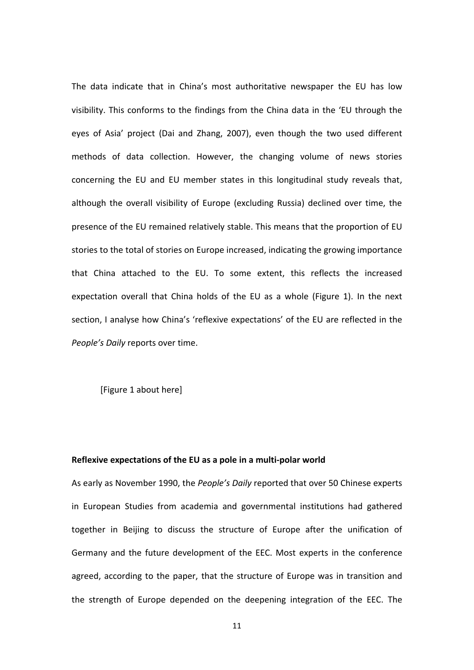The data indicate that in China's most authoritative newspaper the EU has low visibility. This conforms to the findings from the China data in the 'EU through the eyes of Asia' project (Dai and Zhang, 2007), even though the two used different methods of data collection. However, the changing volume of news stories concerning the EU and EU member states in this longitudinal study reveals that, although the overall visibility of Europe (excluding Russia) declined over time, the presence of the EU remained relatively stable. This means that the proportion of EU stories to the total of stories on Europe increased, indicating the growing importance that China attached to the EU. To some extent, this reflects the increased expectation overall that China holds of the EU as a whole (Figure 1). In the next section, I analyse how China's 'reflexive expectations' of the EU are reflected in the *People's Daily* reports over time.

[Figure 1 about here]

### **Reflexive expectations of the EU as a pole in a multi-polar world**

As early as November 1990, the *People's Daily* reported that over 50 Chinese experts in European Studies from academia and governmental institutions had gathered together in Beijing to discuss the structure of Europe after the unification of Germany and the future development of the EEC. Most experts in the conference agreed, according to the paper, that the structure of Europe was in transition and the strength of Europe depended on the deepening integration of the EEC. The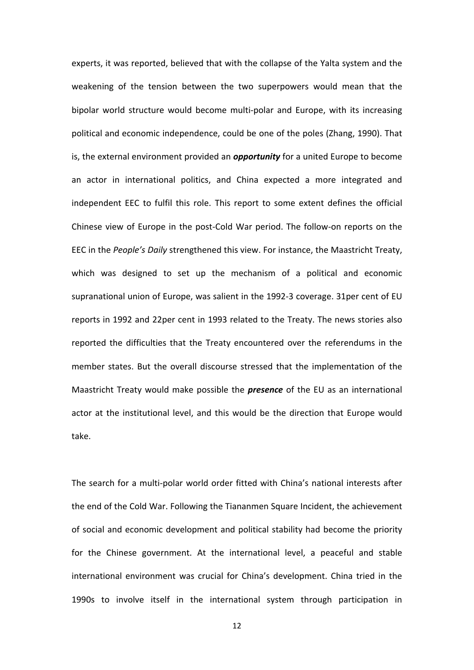experts, it was reported, believed that with the collapse of the Yalta system and the weakening of the tension between the two superpowers would mean that the bipolar world structure would become multi-polar and Europe, with its increasing political and economic independence, could be one of the poles (Zhang, 1990). That is, the external environment provided an *opportunity* for a united Europe to become an actor in international politics, and China expected a more integrated and independent EEC to fulfil this role. This report to some extent defines the official Chinese view of Europe in the post-Cold War period. The follow-on reports on the EEC in the *People's Daily* strengthened this view. For instance, the Maastricht Treaty, which was designed to set up the mechanism of a political and economic supranational union of Europe, was salient in the 1992-3 coverage. 31per cent of EU reports in 1992 and 22per cent in 1993 related to the Treaty. The news stories also reported the difficulties that the Treaty encountered over the referendums in the member states. But the overall discourse stressed that the implementation of the Maastricht Treaty would make possible the *presence* of the EU as an international actor at the institutional level, and this would be the direction that Europe would take.

The search for a multi-polar world order fitted with China's national interests after the end of the Cold War. Following the Tiananmen Square Incident, the achievement of social and economic development and political stability had become the priority for the Chinese government. At the international level, a peaceful and stable international environment was crucial for China's development. China tried in the 1990s to involve itself in the international system through participation in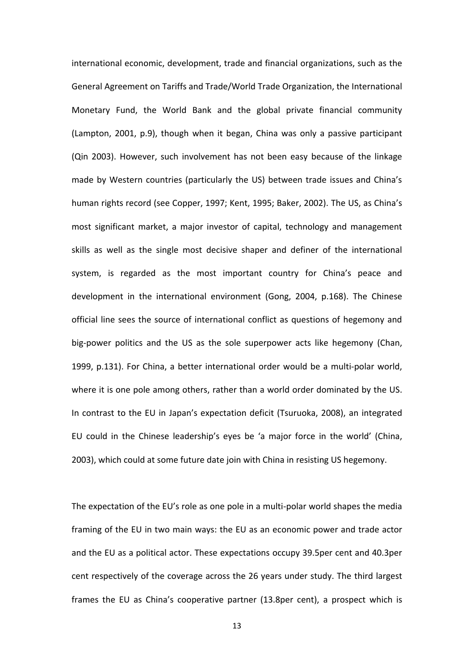international economic, development, trade and financial organizations, such as the General Agreement on Tariffs and Trade/World Trade Organization, the International Monetary Fund, the World Bank and the global private financial community (Lampton, 2001, p.9), though when it began, China was only a passive participant (Qin 2003). However, such involvement has not been easy because of the linkage made by Western countries (particularly the US) between trade issues and China's human rights record (see Copper, 1997; Kent, 1995; Baker, 2002). The US, as China's most significant market, a major investor of capital, technology and management skills as well as the single most decisive shaper and definer of the international system, is regarded as the most important country for China's peace and development in the international environment (Gong, 2004, p.168). The Chinese official line sees the source of international conflict as questions of hegemony and big-power politics and the US as the sole superpower acts like hegemony (Chan, 1999, p.131). For China, a better international order would be a multi-polar world, where it is one pole among others, rather than a world order dominated by the US. In contrast to the EU in Japan's expectation deficit (Tsuruoka, 2008), an integrated EU could in the Chinese leadership's eyes be 'a major force in the world' (China, 2003), which could at some future date join with China in resisting US hegemony.

The expectation of the EU's role as one pole in a multi-polar world shapes the media framing of the EU in two main ways: the EU as an economic power and trade actor and the EU as a political actor. These expectations occupy 39.5per cent and 40.3per cent respectively of the coverage across the 26 years under study. The third largest frames the EU as China's cooperative partner (13.8per cent), a prospect which is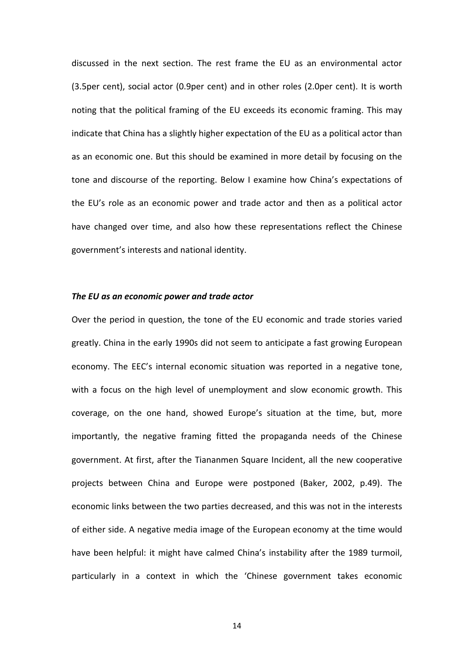discussed in the next section. The rest frame the EU as an environmental actor (3.5per cent), social actor (0.9per cent) and in other roles (2.0per cent). It is worth noting that the political framing of the EU exceeds its economic framing. This may indicate that China has a slightly higher expectation of the EU as a political actor than as an economic one. But this should be examined in more detail by focusing on the tone and discourse of the reporting. Below I examine how China's expectations of the EU's role as an economic power and trade actor and then as a political actor have changed over time, and also how these representations reflect the Chinese government's interests and national identity.

#### *The EU as an economic power and trade actor*

Over the period in question, the tone of the EU economic and trade stories varied greatly. China in the early 1990s did not seem to anticipate a fast growing European economy. The EEC's internal economic situation was reported in a negative tone, with a focus on the high level of unemployment and slow economic growth. This coverage, on the one hand, showed Europe's situation at the time, but, more importantly, the negative framing fitted the propaganda needs of the Chinese government. At first, after the Tiananmen Square Incident, all the new cooperative projects between China and Europe were postponed (Baker, 2002, p.49). The economic links between the two parties decreased, and this was not in the interests of either side. A negative media image of the European economy at the time would have been helpful: it might have calmed China's instability after the 1989 turmoil, particularly in a context in which the 'Chinese government takes economic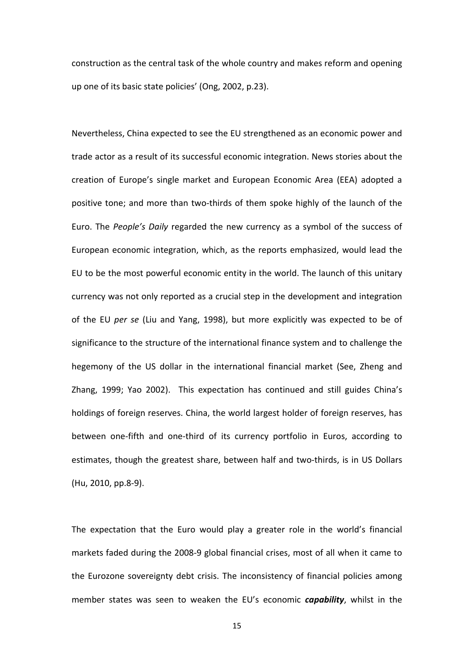construction as the central task of the whole country and makes reform and opening up one of its basic state policies' (Ong, 2002, p.23).

Nevertheless, China expected to see the EU strengthened as an economic power and trade actor as a result of its successful economic integration. News stories about the creation of Europe's single market and European Economic Area (EEA) adopted a positive tone; and more than two-thirds of them spoke highly of the launch of the Euro. The *People's Daily* regarded the new currency as a symbol of the success of European economic integration, which, as the reports emphasized, would lead the EU to be the most powerful economic entity in the world. The launch of this unitary currency was not only reported as a crucial step in the development and integration of the EU *per se* (Liu and Yang, 1998), but more explicitly was expected to be of significance to the structure of the international finance system and to challenge the hegemony of the US dollar in the international financial market (See, Zheng and Zhang, 1999; Yao 2002). This expectation has continued and still guides China's holdings of foreign reserves. China, the world largest holder of foreign reserves, has between one-fifth and one-third of its currency portfolio in Euros, according to estimates, though the greatest share, between half and two-thirds, is in US Dollars (Hu, 2010, pp.8-9).

The expectation that the Euro would play a greater role in the world's financial markets faded during the 2008-9 global financial crises, most of all when it came to the Eurozone sovereignty debt crisis. The inconsistency of financial policies among member states was seen to weaken the EU's economic *capability*, whilst in the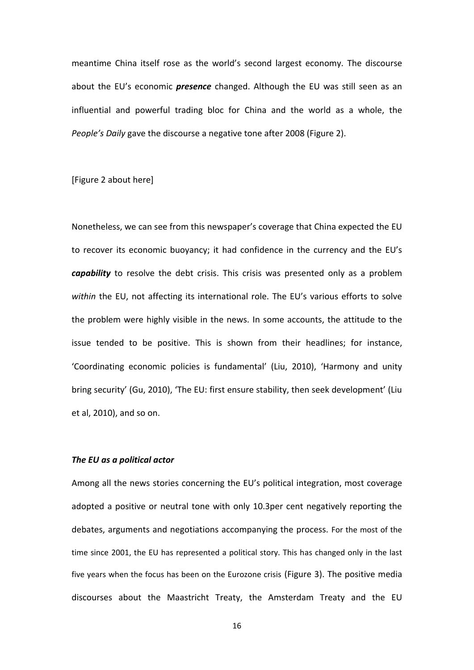meantime China itself rose as the world's second largest economy. The discourse about the EU's economic *presence* changed. Although the EU was still seen as an influential and powerful trading bloc for China and the world as a whole, the *People's Daily* gave the discourse a negative tone after 2008 (Figure 2).

[Figure 2 about here]

Nonetheless, we can see from this newspaper's coverage that China expected the EU to recover its economic buoyancy; it had confidence in the currency and the EU's *capability* to resolve the debt crisis. This crisis was presented only as a problem *within* the EU, not affecting its international role. The EU's various efforts to solve the problem were highly visible in the news. In some accounts, the attitude to the issue tended to be positive. This is shown from their headlines; for instance, 'Coordinating economic policies is fundamental' (Liu, 2010), 'Harmony and unity bring security' (Gu, 2010), 'The EU: first ensure stability, then seek development' (Liu et al, 2010), and so on.

## *The EU as a political actor*

Among all the news stories concerning the EU's political integration, most coverage adopted a positive or neutral tone with only 10.3per cent negatively reporting the debates, arguments and negotiations accompanying the process. For the most of the time since 2001, the EU has represented a political story. This has changed only in the last five years when the focus has been on the Eurozone crisis (Figure 3). The positive media discourses about the Maastricht Treaty, the Amsterdam Treaty and the EU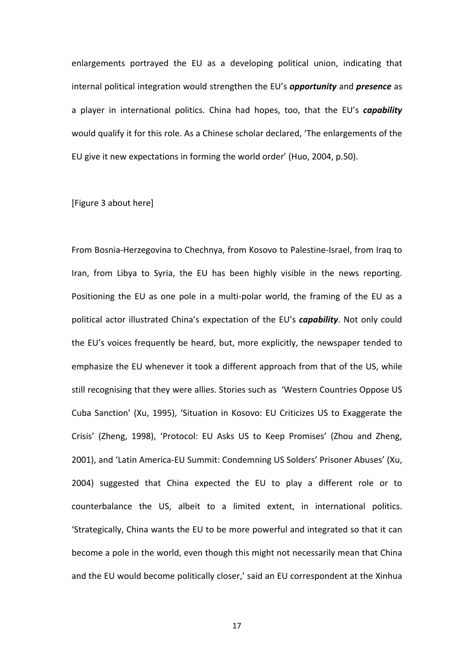enlargements portrayed the EU as a developing political union, indicating that internal political integration would strengthen the EU's *opportunity* and *presence* as a player in international politics. China had hopes, too, that the EU's *capability* would qualify it for this role. As a Chinese scholar declared, 'The enlargements of the EU give it new expectations in forming the world order' (Huo, 2004, p.50).

#### [Figure 3 about here]

From Bosnia-Herzegovina to Chechnya, from Kosovo to Palestine-Israel, from Iraq to Iran, from Libya to Syria, the EU has been highly visible in the news reporting. Positioning the EU as one pole in a multi-polar world, the framing of the EU as a political actor illustrated China's expectation of the EU's *capability*. Not only could the EU's voices frequently be heard, but, more explicitly, the newspaper tended to emphasize the EU whenever it took a different approach from that of the US, while still recognising that they were allies. Stories such as 'Western Countries Oppose US Cuba Sanction' (Xu, 1995), 'Situation in Kosovo: EU Criticizes US to Exaggerate the Crisis' (Zheng, 1998), 'Protocol: EU Asks US to Keep Promises' (Zhou and Zheng, 2001), and 'Latin America-EU Summit: Condemning US Solders' Prisoner Abuses' (Xu, 2004) suggested that China expected the EU to play a different role or to counterbalance the US, albeit to a limited extent, in international politics. 'Strategically, China wants the EU to be more powerful and integrated so that it can become a pole in the world, even though this might not necessarily mean that China and the EU would become politically closer,' said an EU correspondent at the Xinhua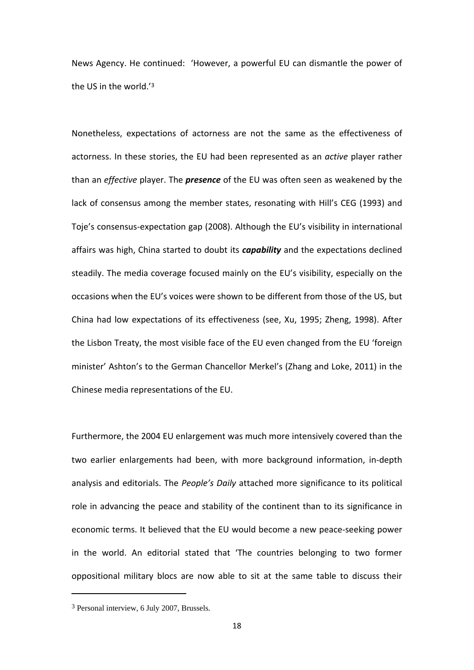News Agency. He continued: 'However, a powerful EU can dismantle the power of the US in the world.'<sup>3</sup>

Nonetheless, expectations of actorness are not the same as the effectiveness of actorness. In these stories, the EU had been represented as an *active* player rather than an *effective* player. The *presence* of the EU was often seen as weakened by the lack of consensus among the member states, resonating with Hill's CEG (1993) and Toje's consensus-expectation gap (2008). Although the EU's visibility in international affairs was high, China started to doubt its *capability* and the expectations declined steadily. The media coverage focused mainly on the EU's visibility, especially on the occasions when the EU's voices were shown to be different from those of the US, but China had low expectations of its effectiveness (see, Xu, 1995; Zheng, 1998). After the Lisbon Treaty, the most visible face of the EU even changed from the EU 'foreign minister' Ashton's to the German Chancellor Merkel's (Zhang and Loke, 2011) in the Chinese media representations of the EU.

Furthermore, the 2004 EU enlargement was much more intensively covered than the two earlier enlargements had been, with more background information, in-depth analysis and editorials. The *People's Daily* attached more significance to its political role in advancing the peace and stability of the continent than to its significance in economic terms. It believed that the EU would become a new peace-seeking power in the world. An editorial stated that 'The countries belonging to two former oppositional military blocs are now able to sit at the same table to discuss their

**.** 

<sup>3</sup> Personal interview, 6 July 2007, Brussels.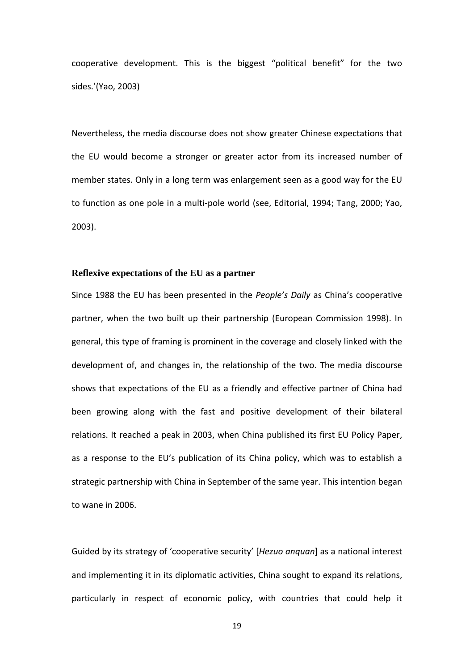cooperative development. This is the biggest "political benefit" for the two sides.'(Yao, 2003)

Nevertheless, the media discourse does not show greater Chinese expectations that the EU would become a stronger or greater actor from its increased number of member states. Only in a long term was enlargement seen as a good way for the EU to function as one pole in a multi-pole world (see, Editorial, 1994; Tang, 2000; Yao, 2003).

## **Reflexive expectations of the EU as a partner**

Since 1988 the EU has been presented in the *People's Daily* as China's cooperative partner, when the two built up their partnership (European Commission 1998). In general, this type of framing is prominent in the coverage and closely linked with the development of, and changes in, the relationship of the two. The media discourse shows that expectations of the EU as a friendly and effective partner of China had been growing along with the fast and positive development of their bilateral relations. It reached a peak in 2003, when China published its first EU Policy Paper, as a response to the EU's publication of its China policy, which was to establish a strategic partnership with China in September of the same year. This intention began to wane in 2006.

Guided by its strategy of 'cooperative security' [*Hezuo anquan*] as a national interest and implementing it in its diplomatic activities, China sought to expand its relations, particularly in respect of economic policy, with countries that could help it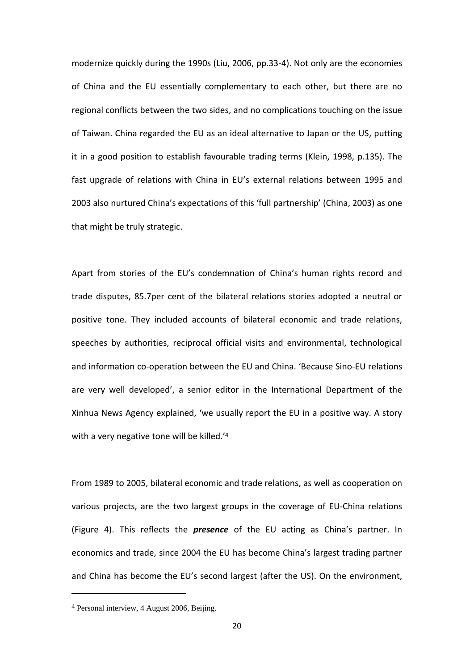modernize quickly during the 1990s (Liu, 2006, pp.33-4). Not only are the economies of China and the EU essentially complementary to each other, but there are no regional conflicts between the two sides, and no complications touching on the issue of Taiwan. China regarded the EU as an ideal alternative to Japan or the US, putting it in a good position to establish favourable trading terms (Klein, 1998, p.135). The fast upgrade of relations with China in EU's external relations between 1995 and 2003 also nurtured China's expectations of this 'full partnership' (China, 2003) as one that might be truly strategic.

Apart from stories of the EU's condemnation of China's human rights record and trade disputes, 85.7per cent of the bilateral relations stories adopted a neutral or positive tone. They included accounts of bilateral economic and trade relations, speeches by authorities, reciprocal official visits and environmental, technological and information co-operation between the EU and China. 'Because Sino-EU relations are very well developed', a senior editor in the International Department of the Xinhua News Agency explained, 'we usually report the EU in a positive way. A story with a very negative tone will be killed.'<sup>4</sup>

From 1989 to 2005, bilateral economic and trade relations, as well as cooperation on various projects, are the two largest groups in the coverage of EU-China relations (Figure 4). This reflects the *presence* of the EU acting as China's partner. In economics and trade, since 2004 the EU has become China's largest trading partner and China has become the EU's second largest (after the US). On the environment,

**.** 

<sup>4</sup> Personal interview, 4 August 2006, Beijing.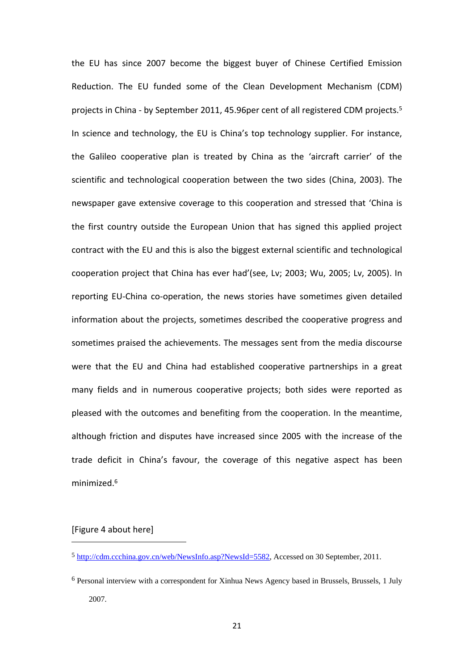the EU has since 2007 become the biggest buyer of Chinese Certified Emission Reduction. The EU funded some of the Clean Development Mechanism (CDM) projects in China - by September 2011, 45.96per cent of all registered CDM projects.<sup>5</sup> In science and technology, the EU is China's top technology supplier. For instance, the Galileo cooperative plan is treated by China as the 'aircraft carrier' of the scientific and technological cooperation between the two sides (China, 2003). The newspaper gave extensive coverage to this cooperation and stressed that 'China is the first country outside the European Union that has signed this applied project contract with the EU and this is also the biggest external scientific and technological cooperation project that China has ever had'(see, Lv; 2003; Wu, 2005; Lv, 2005). In reporting EU-China co-operation, the news stories have sometimes given detailed information about the projects, sometimes described the cooperative progress and sometimes praised the achievements. The messages sent from the media discourse were that the EU and China had established cooperative partnerships in a great many fields and in numerous cooperative projects; both sides were reported as pleased with the outcomes and benefiting from the cooperation. In the meantime, although friction and disputes have increased since 2005 with the increase of the trade deficit in China's favour, the coverage of this negative aspect has been minimized.<sup>6</sup>

# [Figure 4 about here]

<sup>5</sup> [http://cdm.ccchina.gov.cn/web/NewsInfo.asp?NewsId=5582,](http://cdm.ccchina.gov.cn/web/NewsInfo.asp?NewsId=5582) Accessed on 30 September, 2011.

<sup>6</sup> Personal interview with a correspondent for Xinhua News Agency based in Brussels, Brussels, 1 July 2007.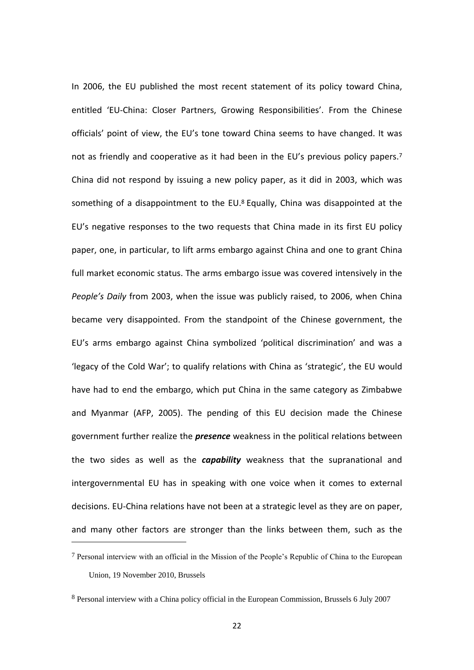In 2006, the EU published the most recent statement of its policy toward China, entitled 'EU-China: Closer Partners, Growing Responsibilities'. From the Chinese officials' point of view, the EU's tone toward China seems to have changed. It was not as friendly and cooperative as it had been in the EU's previous policy papers.<sup>7</sup> China did not respond by issuing a new policy paper, as it did in 2003, which was something of a disappointment to the EU.<sup>8</sup> Equally, China was disappointed at the EU's negative responses to the two requests that China made in its first EU policy paper, one, in particular, to lift arms embargo against China and one to grant China full market economic status. The arms embargo issue was covered intensively in the *People's Daily* from 2003, when the issue was publicly raised, to 2006, when China became very disappointed. From the standpoint of the Chinese government, the EU's arms embargo against China symbolized 'political discrimination' and was a 'legacy of the Cold War'; to qualify relations with China as 'strategic', the EU would have had to end the embargo, which put China in the same category as Zimbabwe and Myanmar (AFP, 2005). The pending of this EU decision made the Chinese government further realize the *presence* weakness in the political relations between the two sides as well as the *capability* weakness that the supranational and intergovernmental EU has in speaking with one voice when it comes to external decisions. EU-China relations have not been at a strategic level as they are on paper, and many other factors are stronger than the links between them, such as the

<sup>7</sup> Personal interview with an official in the Mission of the People's Republic of China to the European Union, 19 November 2010, Brussels

<sup>8</sup> Personal interview with a China policy official in the European Commission, Brussels 6 July 2007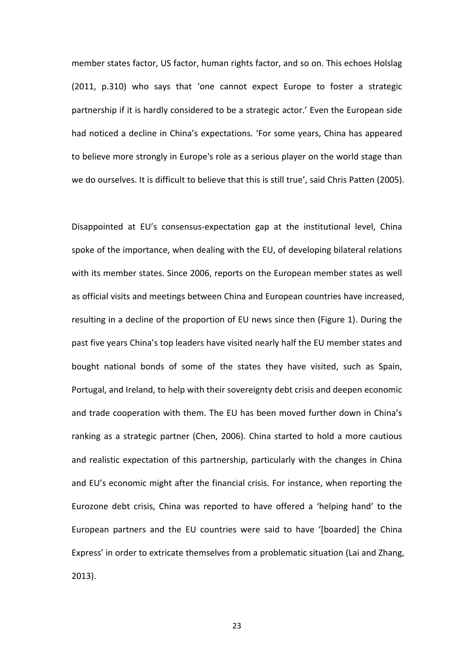member states factor, US factor, human rights factor, and so on. This echoes Holslag (2011, p.310) who says that 'one cannot expect Europe to foster a strategic partnership if it is hardly considered to be a strategic actor.' Even the European side had noticed a decline in China's expectations. 'For some years, China has appeared to believe more strongly in Europe's role as a serious player on the world stage than we do ourselves. It is difficult to believe that this is still true', said Chris Patten (2005).

Disappointed at EU's consensus-expectation gap at the institutional level, China spoke of the importance, when dealing with the EU, of developing bilateral relations with its member states. Since 2006, reports on the European member states as well as official visits and meetings between China and European countries have increased, resulting in a decline of the proportion of EU news since then (Figure 1). During the past five years China's top leaders have visited nearly half the EU member states and bought national bonds of some of the states they have visited, such as Spain, Portugal, and Ireland, to help with their sovereignty debt crisis and deepen economic and trade cooperation with them. The EU has been moved further down in China's ranking as a strategic partner (Chen, 2006). China started to hold a more cautious and realistic expectation of this partnership, particularly with the changes in China and EU's economic might after the financial crisis. For instance, when reporting the Eurozone debt crisis, China was reported to have offered a 'helping hand' to the European partners and the EU countries were said to have '[boarded] the China Express' in order to extricate themselves from a problematic situation (Lai and Zhang, 2013).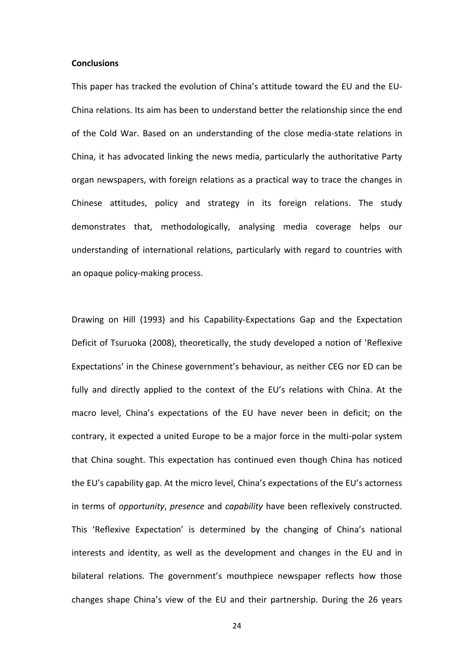### **Conclusions**

This paper has tracked the evolution of China's attitude toward the EU and the EU-China relations. Its aim has been to understand better the relationship since the end of the Cold War. Based on an understanding of the close media-state relations in China, it has advocated linking the news media, particularly the authoritative Party organ newspapers, with foreign relations as a practical way to trace the changes in Chinese attitudes, policy and strategy in its foreign relations. The study demonstrates that, methodologically, analysing media coverage helps our understanding of international relations, particularly with regard to countries with an opaque policy-making process.

Drawing on Hill (1993) and his Capability-Expectations Gap and the Expectation Deficit of Tsuruoka (2008), theoretically, the study developed a notion of 'Reflexive Expectations' in the Chinese government's behaviour, as neither CEG nor ED can be fully and directly applied to the context of the EU's relations with China. At the macro level, China's expectations of the EU have never been in deficit; on the contrary, it expected a united Europe to be a major force in the multi-polar system that China sought. This expectation has continued even though China has noticed the EU's capability gap. At the micro level, China's expectations of the EU's actorness in terms of *opportunity*, *presence* and *capability* have been reflexively constructed. This 'Reflexive Expectation' is determined by the changing of China's national interests and identity, as well as the development and changes in the EU and in bilateral relations. The government's mouthpiece newspaper reflects how those changes shape China's view of the EU and their partnership. During the 26 years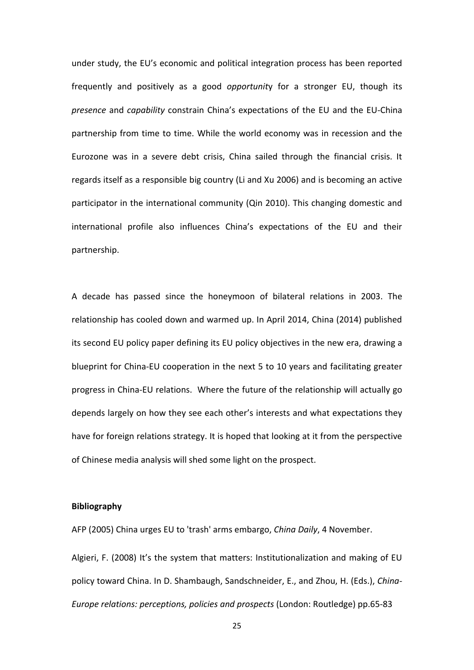under study, the EU's economic and political integration process has been reported frequently and positively as a good *opportunit*y for a stronger EU, though its *presence* and *capability* constrain China's expectations of the EU and the EU-China partnership from time to time. While the world economy was in recession and the Eurozone was in a severe debt crisis, China sailed through the financial crisis. It regards itself as a responsible big country (Li and Xu 2006) and is becoming an active participator in the international community (Qin 2010). This changing domestic and international profile also influences China's expectations of the EU and their partnership.

A decade has passed since the honeymoon of bilateral relations in 2003. The relationship has cooled down and warmed up. In April 2014, China (2014) published its second EU policy paper defining its EU policy objectives in the new era, drawing a blueprint for China-EU cooperation in the next 5 to 10 years and facilitating greater progress in China-EU relations. Where the future of the relationship will actually go depends largely on how they see each other's interests and what expectations they have for foreign relations strategy. It is hoped that looking at it from the perspective of Chinese media analysis will shed some light on the prospect.

### **Bibliography**

AFP (2005) China urges EU to 'trash' arms embargo, *China Daily*, 4 November.

Algieri, F. (2008) It's the system that matters: Institutionalization and making of EU policy toward China. In D. Shambaugh, Sandschneider, E., and Zhou, H. (Eds.), *China-Europe relations: perceptions, policies and prospects* (London: Routledge) pp.65-83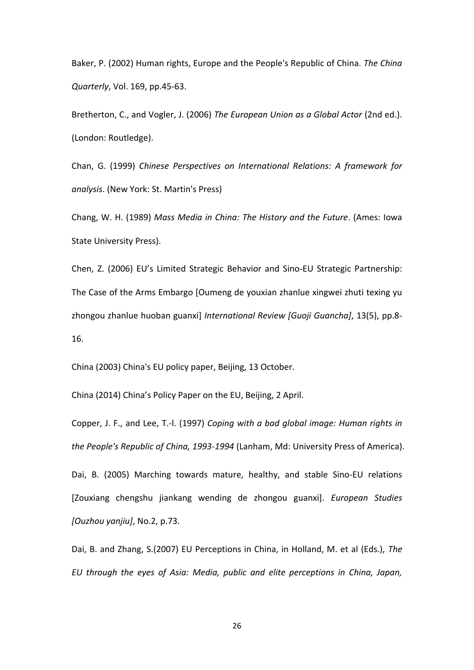Baker, P. (2002) Human rights, Europe and the People's Republic of China. *The China Quarterly*, Vol. 169, pp.45-63.

Bretherton, C., and Vogler, J. (2006) *The European Union as a Global Actor* (2nd ed.). (London: Routledge).

Chan, G. (1999) *Chinese Perspectives on International Relations: A framework for analysis*. (New York: St. Martin's Press)

Chang, W. H. (1989) *Mass Media in China: The History and the Future*. (Ames: Iowa State University Press).

Chen, Z. (2006) EU's Limited Strategic Behavior and Sino-EU Strategic Partnership: The Case of the Arms Embargo [Oumeng de youxian zhanlue xingwei zhuti texing yu zhongou zhanlue huoban guanxi] *International Review [Guoji Guancha]*, 13(5), pp.8- 16.

China (2003) China's EU policy paper, Beijing, 13 October.

China (2014) China's Policy Paper on the EU, Beijing, 2 April.

Copper, J. F., and Lee, T.-l. (1997) *Coping with a bad global image: Human rights in the People's Republic of China, 1993-1994* (Lanham, Md: University Press of America).

Dai, B. (2005) Marching towards mature, healthy, and stable Sino-EU relations [Zouxiang chengshu jiankang wending de zhongou guanxi]. *European Studies [Ouzhou yanjiu]*, No.2, p.73.

Dai, B. and Zhang, S.(2007) EU Perceptions in China, in Holland, M. et al (Eds.), *The EU through the eyes of Asia: Media, public and elite perceptions in China, Japan,*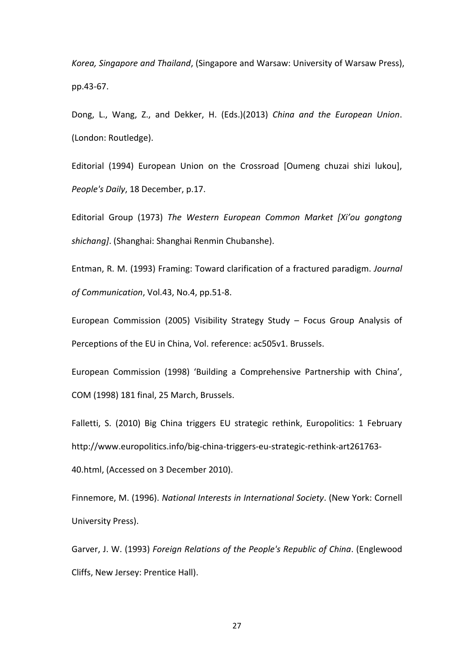*Korea, Singapore and Thailand*, (Singapore and Warsaw: University of Warsaw Press), pp.43-67.

Dong, L., Wang, Z., and Dekker, H. (Eds.)(2013) *China and the European Union*. (London: Routledge).

Editorial (1994) European Union on the Crossroad [Oumeng chuzai shizi lukou], *People's Daily*, 18 December, p.17.

Editorial Group (1973) *The Western European Common Market [Xi'ou gongtong shichang]*. (Shanghai: Shanghai Renmin Chubanshe).

Entman, R. M. (1993) Framing: Toward clarification of a fractured paradigm. *Journal of Communication*, Vol.43, No.4, pp.51-8.

European Commission (2005) Visibility Strategy Study – Focus Group Analysis of Perceptions of the EU in China, Vol. reference: ac505v1. Brussels.

European Commission (1998) 'Building a Comprehensive Partnership with China', COM (1998) 181 final, 25 March, Brussels.

Falletti, S. (2010) Big China triggers EU strategic rethink, Europolitics: 1 February http://www.europolitics.info/big-china-triggers-eu-strategic-rethink-art261763-

40.html, (Accessed on 3 December 2010).

Finnemore, M. (1996). *National Interests in International Society*. (New York: Cornell University Press).

Garver, J. W. (1993) *Foreign Relations of the People's Republic of China*. (Englewood Cliffs, New Jersey: Prentice Hall).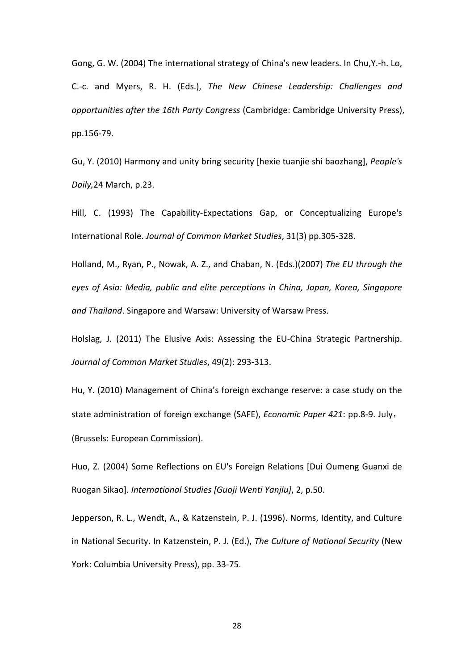Gong, G. W. (2004) The international strategy of China's new leaders. In Chu,Y.-h. Lo, C.-c. and Myers, R. H. (Eds.), *The New Chinese Leadership: Challenges and opportunities after the 16th Party Congress* (Cambridge: Cambridge University Press), pp.156-79.

Gu, Y. (2010) Harmony and unity bring security [hexie tuanjie shi baozhang], *People's Daily,*24 March, p.23.

Hill, C. (1993) The Capability-Expectations Gap, or Conceptualizing Europe's International Role. *Journal of Common Market Studies*, 31(3) pp.305-328.

Holland, M., Ryan, P., Nowak, A. Z., and Chaban, N. (Eds.)(2007) *The EU through the eyes of Asia: Media, public and elite perceptions in China, Japan, Korea, Singapore and Thailand*. Singapore and Warsaw: University of Warsaw Press.

Holslag, J. (2011) The Elusive Axis: Assessing the EU-China Strategic Partnership. *Journal of Common Market Studies*, 49(2): 293-313.

Hu, Y. (2010) Management of China's foreign exchange reserve: a case study on the state administration of foreign exchange (SAFE), *Economic Paper 421*: pp.8-9. July, (Brussels: European Commission).

Huo, Z. (2004) Some Reflections on EU's Foreign Relations [Dui Oumeng Guanxi de Ruogan Sikao]. *International Studies [Guoji Wenti Yanjiu]*, 2, p.50.

Jepperson, R. L., Wendt, A., & Katzenstein, P. J. (1996). Norms, Identity, and Culture in National Security. In Katzenstein, P. J. (Ed.), *The Culture of National Security* (New York: Columbia University Press), pp. 33-75.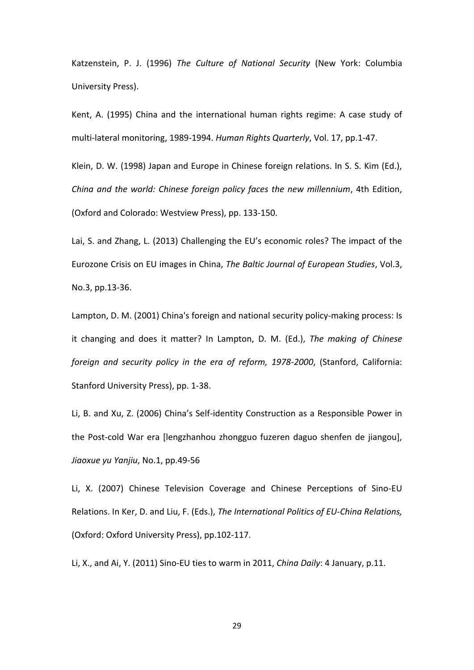Katzenstein, P. J. (1996) *The Culture of National Security* (New York: Columbia University Press).

Kent, A. (1995) China and the international human rights regime: A case study of multi-lateral monitoring, 1989-1994. *Human Rights Quarterly*, Vol. 17, pp.1-47.

Klein, D. W. (1998) Japan and Europe in Chinese foreign relations. In S. S. Kim (Ed.), *China and the world: Chinese foreign policy faces the new millennium*, 4th Edition, (Oxford and Colorado: Westview Press), pp. 133-150.

Lai, S. and Zhang, L. (2013) Challenging the EU's economic roles? The impact of the Eurozone Crisis on EU images in China, *The Baltic Journal of European Studies*, Vol.3, No.3, pp.13-36.

Lampton, D. M. (2001) China's foreign and national security policy-making process: Is it changing and does it matter? In Lampton, D. M. (Ed.), *The making of Chinese foreign and security policy in the era of reform, 1978-2000*, (Stanford, California: Stanford University Press), pp. 1-38.

Li, B. and Xu, Z. (2006) China's Self-identity Construction as a Responsible Power in the Post-cold War era [lengzhanhou zhongguo fuzeren daguo shenfen de jiangou], *Jiaoxue yu Yanjiu*, No.1, pp.49-56

Li, X. (2007) Chinese Television Coverage and Chinese Perceptions of Sino-EU Relations. In Ker, D. and Liu, F. (Eds.), *The International Politics of EU-China Relations,* (Oxford: Oxford University Press), pp.102-117.

Li, X., and Ai, Y. (2011) Sino-EU ties to warm in 2011, *China Daily*: 4 January, p.11.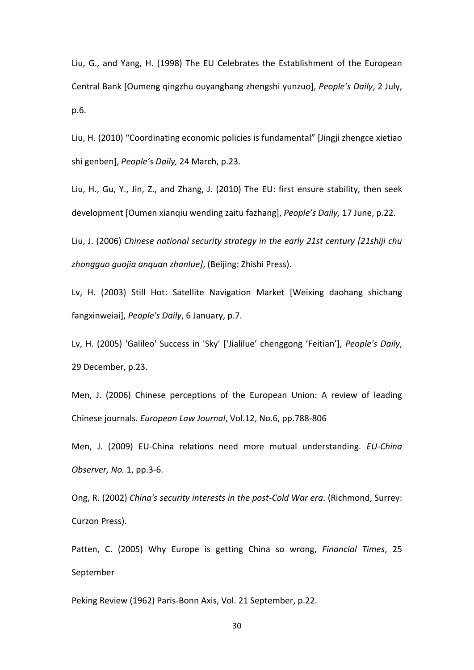Liu, G., and Yang, H. (1998) The EU Celebrates the Establishment of the European Central Bank [Oumeng qingzhu ouyanghang zhengshi yunzuo], *People's Daily*, 2 July, p.6.

Liu, H. (2010) "Coordinating economic policies is fundamental" [Jingji zhengce xietiao shi genben], *People's Daily,* 24 March, p.23.

Liu, H., Gu, Y., Jin, Z., and Zhang, J. (2010) The EU: first ensure stability, then seek development [Oumen xianqiu wending zaitu fazhang], *People's Daily,* 17 June, p.22.

Liu, J. (2006) *Chinese national security strategy in the early 21st century [21shiji chu zhongguo guojia anquan zhanlue]*, (Beijing: Zhishi Press).

Lv, H. (2003) Still Hot: Satellite Navigation Market [Weixing daohang shichang fangxinweiai], *People's Daily*, 6 January, p.7.

Lv, H. (2005) 'Galileo' Success in 'Sky' ['Jialilue' chenggong 'Feitian'], *People's Daily*, 29 December, p.23.

Men, J. (2006) Chinese perceptions of the European Union: A review of leading Chinese journals. *European Law Journal*, Vol.12, No.6, pp.788-806

Men, J. (2009) EU-China relations need more mutual understanding. *EU-China Observer, No.* 1, pp.3-6.

Ong, R. (2002) *China's security interests in the post-Cold War era*. (Richmond, Surrey: Curzon Press).

Patten, C. (2005) Why Europe is getting China so wrong, *Financial Times*, 25 September

Peking Review (1962) Paris-Bonn Axis, Vol. 21 September, p.22.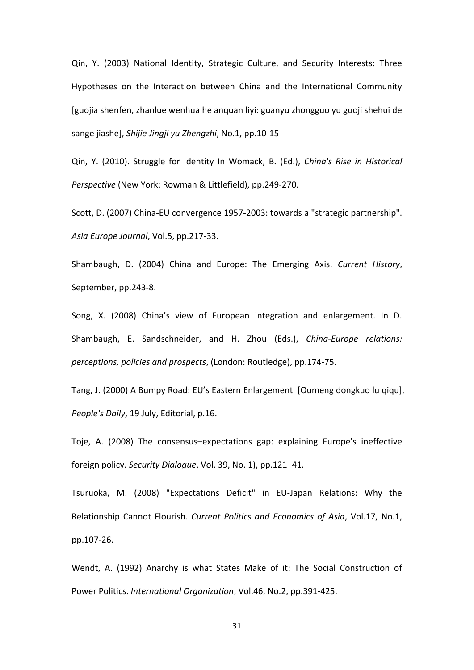Qin, Y. (2003) National Identity, Strategic Culture, and Security Interests: Three Hypotheses on the Interaction between China and the International Community [guojia shenfen, zhanlue wenhua he anquan liyi: guanyu zhongguo yu guoji shehui de sange jiashe], *Shijie Jingji yu Zhengzhi*, No.1, pp.10-15

Qin, Y. (2010). Struggle for Identity In Womack, B. (Ed.), *China's Rise in Historical Perspective* (New York: Rowman & Littlefield), pp.249-270.

Scott, D. (2007) China-EU convergence 1957-2003: towards a "strategic partnership". *Asia Europe Journal*, Vol.5, pp.217-33.

Shambaugh, D. (2004) China and Europe: The Emerging Axis. *Current History*, September, pp.243-8.

Song, X. (2008) China's view of European integration and enlargement. In D. Shambaugh, E. Sandschneider, and H. Zhou (Eds.), *China-Europe relations: perceptions, policies and prospects*, (London: Routledge), pp.174-75.

Tang, J. (2000) A Bumpy Road: EU's Eastern Enlargement [Oumeng dongkuo lu qiqu], *People's Daily*, 19 July, Editorial, p.16.

Toje, A. (2008) The consensus–expectations gap: explaining Europe's ineffective foreign policy. *Security Dialogue*, Vol. 39, No. 1), pp.121–41.

Tsuruoka, M. (2008) "Expectations Deficit" in EU-Japan Relations: Why the Relationship Cannot Flourish. *Current Politics and Economics of Asia*, Vol.17, No.1, pp.107-26.

Wendt, A. (1992) Anarchy is what States Make of it: The Social Construction of Power Politics. *International Organization*, Vol.46, No.2, pp.391-425.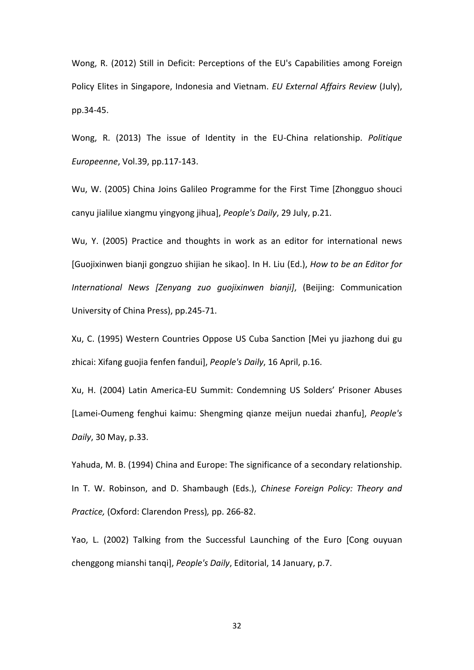Wong, R. (2012) Still in Deficit: Perceptions of the EU's Capabilities among Foreign Policy Elites in Singapore, Indonesia and Vietnam. *EU External Affairs Review* (July), pp.34-45.

Wong, R. (2013) The issue of Identity in the EU-China relationship. *Politique Europeenne*, Vol.39, pp.117-143.

Wu, W. (2005) China Joins Galileo Programme for the First Time [Zhongguo shouci canyu jialilue xiangmu yingyong jihua], *People's Daily*, 29 July, p.21.

Wu, Y. (2005) Practice and thoughts in work as an editor for international news [Guojixinwen bianji gongzuo shijian he sikao]. In H. Liu (Ed.), *How to be an Editor for International News [Zenyang zuo guojixinwen bianji]*, (Beijing: Communication University of China Press), pp.245-71.

Xu, C. (1995) Western Countries Oppose US Cuba Sanction [Mei yu jiazhong dui gu zhicai: Xifang guojia fenfen fandui], *People's Daily*, 16 April, p.16.

Xu, H. (2004) Latin America-EU Summit: Condemning US Solders' Prisoner Abuses [Lamei-Oumeng fenghui kaimu: Shengming qianze meijun nuedai zhanfu], *People's Daily*, 30 May, p.33.

Yahuda, M. B. (1994) China and Europe: The significance of a secondary relationship. In T. W. Robinson, and D. Shambaugh (Eds.), *Chinese Foreign Policy: Theory and Practice,* (Oxford: Clarendon Press)*,* pp. 266-82.

Yao, L. (2002) Talking from the Successful Launching of the Euro [Cong ouyuan chenggong mianshi tanqi], *People's Daily*, Editorial, 14 January, p.7.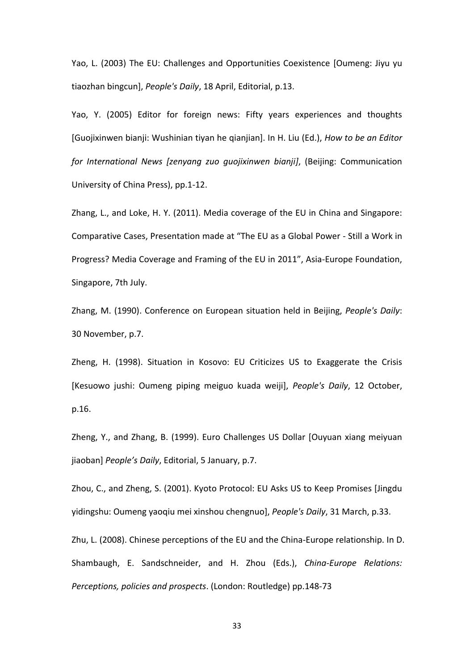Yao, L. (2003) The EU: Challenges and Opportunities Coexistence [Oumeng: Jiyu yu tiaozhan bingcun], *People's Daily*, 18 April, Editorial, p.13.

Yao, Y. (2005) Editor for foreign news: Fifty years experiences and thoughts [Guojixinwen bianji: Wushinian tiyan he qianjian]. In H. Liu (Ed.), *How to be an Editor for International News [zenyang zuo guojixinwen bianji]*, (Beijing: Communication University of China Press), pp.1-12.

Zhang, L., and Loke, H. Y. (2011). Media coverage of the EU in China and Singapore: Comparative Cases, Presentation made at "The EU as a Global Power - Still a Work in Progress? Media Coverage and Framing of the EU in 2011", Asia-Europe Foundation, Singapore, 7th July.

Zhang, M. (1990). Conference on European situation held in Beijing, *People's Daily*: 30 November, p.7.

Zheng, H. (1998). Situation in Kosovo: EU Criticizes US to Exaggerate the Crisis [Kesuowo jushi: Oumeng piping meiguo kuada weiji], *People's Daily*, 12 October, p.16.

Zheng, Y., and Zhang, B. (1999). Euro Challenges US Dollar [Ouyuan xiang meiyuan jiaoban] *People's Daily*, Editorial, 5 January, p.7.

Zhou, C., and Zheng, S. (2001). Kyoto Protocol: EU Asks US to Keep Promises [Jingdu yidingshu: Oumeng yaoqiu mei xinshou chengnuo], *People's Daily*, 31 March, p.33.

Zhu, L. (2008). Chinese perceptions of the EU and the China-Europe relationship. In D. Shambaugh, E. Sandschneider, and H. Zhou (Eds.), *China-Europe Relations: Perceptions, policies and prospects*. (London: Routledge) pp.148-73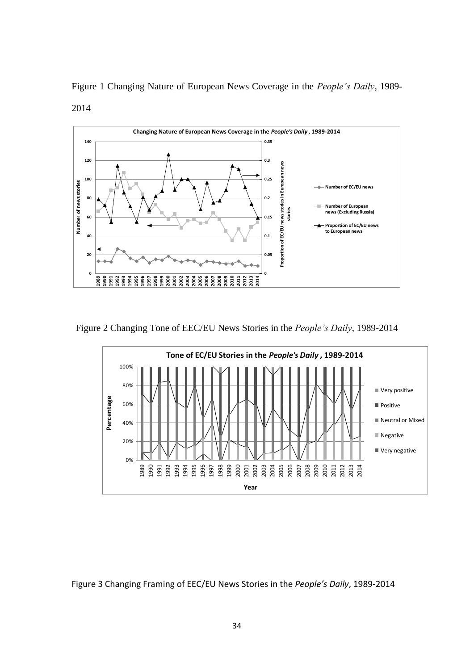

Figure 1 Changing Nature of European News Coverage in the *People's Daily*, 1989- 2014

Figure 2 Changing Tone of EEC/EU News Stories in the *People's Daily*, 1989-2014